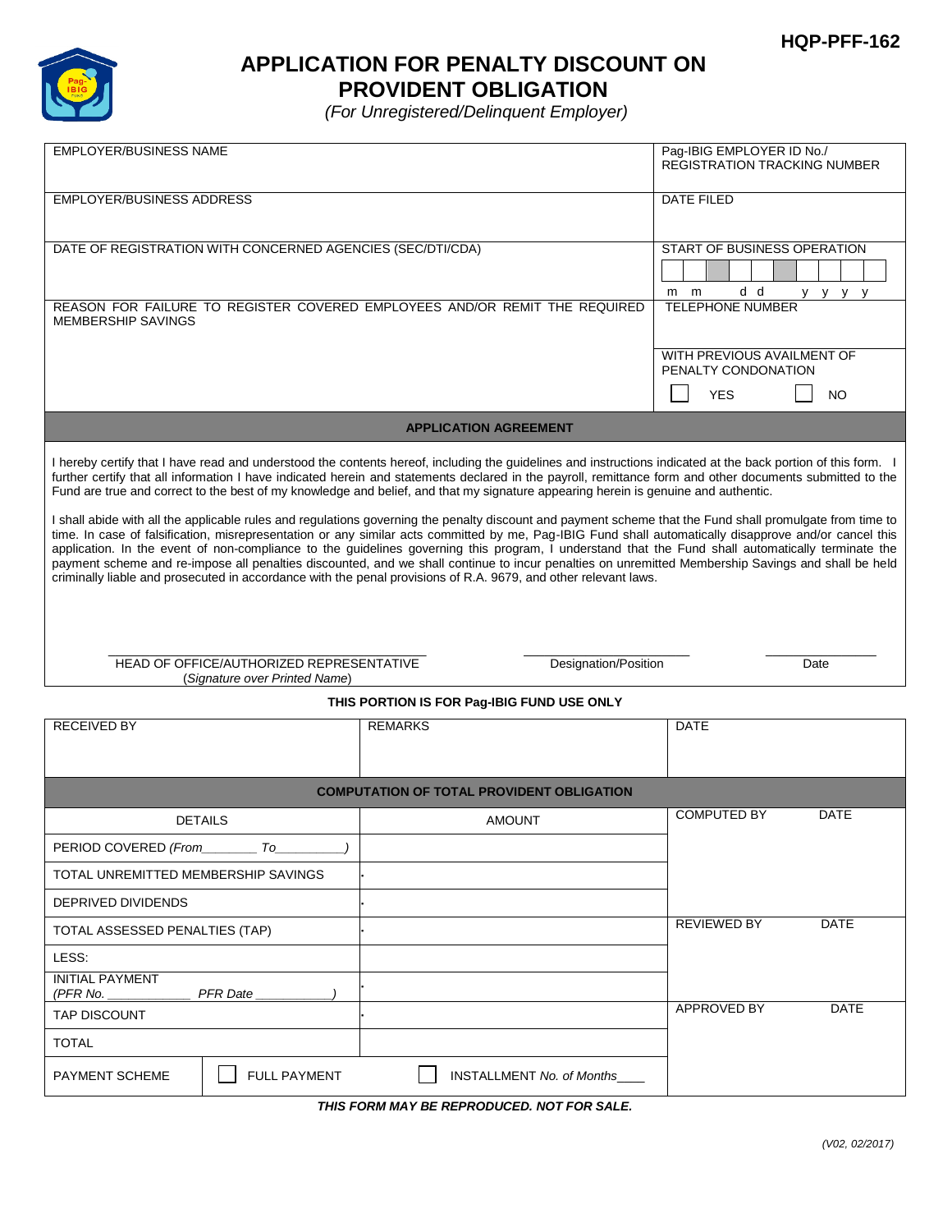

# **APPLICATION FOR PENALTY DISCOUNT ON PROVIDENT OBLIGATION**

*(For Unregistered/Delinquent Employer)* 

| <b>EMPLOYER/BUSINESS NAME</b>                                                                                                                                                                                                                                                                                                                                                                                                                                             |                                                            |                                  | Pag-IBIG EMPLOYER ID No./<br><b>REGISTRATION TRACKING NUMBER</b> |  |
|---------------------------------------------------------------------------------------------------------------------------------------------------------------------------------------------------------------------------------------------------------------------------------------------------------------------------------------------------------------------------------------------------------------------------------------------------------------------------|------------------------------------------------------------|----------------------------------|------------------------------------------------------------------|--|
| <b>EMPLOYER/BUSINESS ADDRESS</b>                                                                                                                                                                                                                                                                                                                                                                                                                                          |                                                            |                                  | <b>DATE FILED</b>                                                |  |
|                                                                                                                                                                                                                                                                                                                                                                                                                                                                           | DATE OF REGISTRATION WITH CONCERNED AGENCIES (SEC/DTI/CDA) |                                  | START OF BUSINESS OPERATION                                      |  |
|                                                                                                                                                                                                                                                                                                                                                                                                                                                                           |                                                            |                                  |                                                                  |  |
| REASON FOR FAILURE TO REGISTER COVERED EMPLOYEES AND/OR REMIT THE REQUIRED                                                                                                                                                                                                                                                                                                                                                                                                |                                                            |                                  | d d<br>m<br>m<br>y y y y<br><b>TELEPHONE NUMBER</b>              |  |
| <b>MEMBERSHIP SAVINGS</b>                                                                                                                                                                                                                                                                                                                                                                                                                                                 |                                                            |                                  |                                                                  |  |
|                                                                                                                                                                                                                                                                                                                                                                                                                                                                           |                                                            |                                  | WITH PREVIOUS AVAILMENT OF<br>PENALTY CONDONATION                |  |
|                                                                                                                                                                                                                                                                                                                                                                                                                                                                           |                                                            |                                  | <b>YES</b><br><b>NO</b>                                          |  |
| <b>APPLICATION AGREEMENT</b>                                                                                                                                                                                                                                                                                                                                                                                                                                              |                                                            |                                  |                                                                  |  |
|                                                                                                                                                                                                                                                                                                                                                                                                                                                                           |                                                            |                                  |                                                                  |  |
| I hereby certify that I have read and understood the contents hereof, including the guidelines and instructions indicated at the back portion of this form. I<br>further certify that all information I have indicated herein and statements declared in the payroll, remittance form and other documents submitted to the<br>Fund are true and correct to the best of my knowledge and belief, and that my signature appearing herein is genuine and authentic.          |                                                            |                                  |                                                                  |  |
| I shall abide with all the applicable rules and regulations governing the penalty discount and payment scheme that the Fund shall promulgate from time to<br>time. In case of falsification, misrepresentation or any similar acts committed by me, Pag-IBIG Fund shall automatically disapprove and/or cancel this<br>application. In the event of non-compliance to the guidelines governing this program, I understand that the Fund shall automatically terminate the |                                                            |                                  |                                                                  |  |
| payment scheme and re-impose all penalties discounted, and we shall continue to incur penalties on unremitted Membership Savings and shall be held<br>criminally liable and prosecuted in accordance with the penal provisions of R.A. 9679, and other relevant laws.                                                                                                                                                                                                     |                                                            |                                  |                                                                  |  |
|                                                                                                                                                                                                                                                                                                                                                                                                                                                                           |                                                            |                                  |                                                                  |  |
|                                                                                                                                                                                                                                                                                                                                                                                                                                                                           |                                                            |                                  |                                                                  |  |
| HEAD OF OFFICE/AUTHORIZED REPRESENTATIVE                                                                                                                                                                                                                                                                                                                                                                                                                                  |                                                            | Designation/Position             | Date                                                             |  |
| (Signature over Printed Name)<br>THIS PORTION IS FOR Pag-IBIG FUND USE ONLY                                                                                                                                                                                                                                                                                                                                                                                               |                                                            |                                  |                                                                  |  |
| <b>RECEIVED BY</b>                                                                                                                                                                                                                                                                                                                                                                                                                                                        |                                                            | <b>REMARKS</b>                   | <b>DATE</b>                                                      |  |
|                                                                                                                                                                                                                                                                                                                                                                                                                                                                           |                                                            |                                  |                                                                  |  |
| <b>COMPUTATION OF TOTAL PROVIDENT OBLIGATION</b>                                                                                                                                                                                                                                                                                                                                                                                                                          |                                                            |                                  |                                                                  |  |
|                                                                                                                                                                                                                                                                                                                                                                                                                                                                           | <b>DETAILS</b>                                             | <b>AMOUNT</b>                    | <b>COMPUTED BY</b><br><b>DATE</b>                                |  |
| PERIOD COVERED (From                                                                                                                                                                                                                                                                                                                                                                                                                                                      | <i>To</i>                                                  |                                  |                                                                  |  |
| TOTAL UNREMITTED MEMBERSHIP SAVINGS                                                                                                                                                                                                                                                                                                                                                                                                                                       |                                                            |                                  |                                                                  |  |
| DEPRIVED DIVIDENDS                                                                                                                                                                                                                                                                                                                                                                                                                                                        |                                                            |                                  |                                                                  |  |
| TOTAL ASSESSED PENALTIES (TAP)                                                                                                                                                                                                                                                                                                                                                                                                                                            |                                                            |                                  | REVIEWED BY<br><b>DATE</b>                                       |  |
| LESS:                                                                                                                                                                                                                                                                                                                                                                                                                                                                     |                                                            |                                  |                                                                  |  |
| <b>INITIAL PAYMENT</b><br>(PFR No.<br><b>PFR</b> Date                                                                                                                                                                                                                                                                                                                                                                                                                     |                                                            |                                  |                                                                  |  |
| TAP DISCOUNT                                                                                                                                                                                                                                                                                                                                                                                                                                                              |                                                            |                                  | APPROVED BY<br><b>DATE</b>                                       |  |
| TOTAL                                                                                                                                                                                                                                                                                                                                                                                                                                                                     |                                                            |                                  |                                                                  |  |
| <b>FULL PAYMENT</b><br>PAYMENT SCHEME                                                                                                                                                                                                                                                                                                                                                                                                                                     |                                                            | <b>INSTALLMENT No. of Months</b> |                                                                  |  |

*THIS FORM MAY BE REPRODUCED. NOT FOR SALE.*